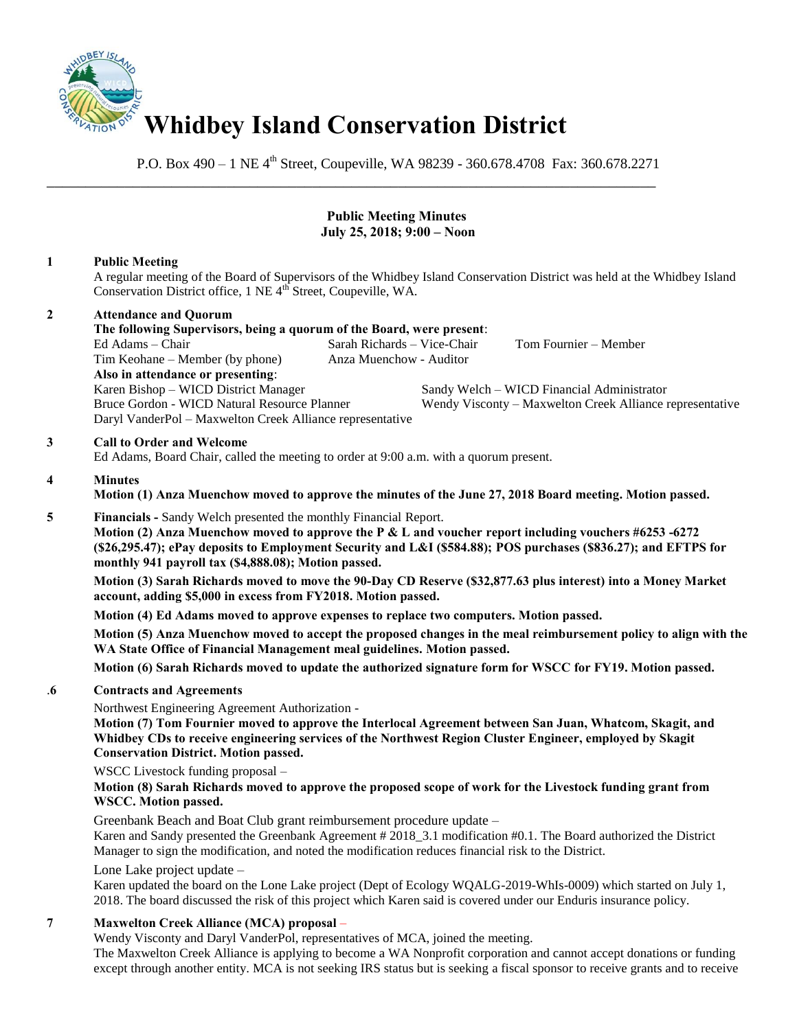

\_\_\_\_\_\_\_\_\_\_\_\_\_\_\_\_\_\_\_\_\_\_\_\_\_\_\_\_\_\_\_\_\_\_\_\_\_\_\_\_\_\_\_\_\_\_\_\_\_\_\_\_\_\_\_\_\_\_\_\_\_\_\_\_\_\_\_\_\_\_\_\_\_\_\_\_\_\_

P.O. Box 490 – 1 NE 4<sup>th</sup> Street, Coupeville, WA 98239 - 360.678.4708 Fax: 360.678.2271

# **Public Meeting Minutes July 25, 2018; 9:00 – Noon**

# **1 Public Meeting**

A regular meeting of the Board of Supervisors of the Whidbey Island Conservation District was held at the Whidbey Island Conservation District office, 1 NE 4<sup>th</sup> Street, Coupeville, WA.

## **2 Attendance and Quorum**

**The following Supervisors, being a quorum of the Board, were present**: Sarah Richards – Vice-Chair Tom Fournier – Member Tim Keohane – Member (by phone) Anza Muenchow - Auditor **Also in attendance or presenting**: Karen Bishop – WICD District Manager Sandy Welch – WICD Financial Administrator Bruce Gordon - WICD Natural Resource Planner Wendy Visconty – Maxwelton Creek Alliance representative Daryl VanderPol – Maxwelton Creek Alliance representative

## **3 Call to Order and Welcome**

Ed Adams, Board Chair, called the meeting to order at 9:00 a.m. with a quorum present.

#### **4 Minutes**

**Motion (1) Anza Muenchow moved to approve the minutes of the June 27, 2018 Board meeting. Motion passed.** 

**5 Financials - Sandy Welch presented the monthly Financial Report.** 

 **Motion (2) Anza Muenchow moved to approve the P & L and voucher report including vouchers #6253 -6272 (\$26,295.47); ePay deposits to Employment Security and L&I (\$584.88); POS purchases (\$836.27); and EFTPS for monthly 941 payroll tax (\$4,888.08); Motion passed.** 

**Motion (3) Sarah Richards moved to move the 90-Day CD Reserve (\$32,877.63 plus interest) into a Money Market account, adding \$5,000 in excess from FY2018. Motion passed.** 

**Motion (4) Ed Adams moved to approve expenses to replace two computers. Motion passed.** 

**Motion (5) Anza Muenchow moved to accept the proposed changes in the meal reimbursement policy to align with the WA State Office of Financial Management meal guidelines. Motion passed.** 

**Motion (6) Sarah Richards moved to update the authorized signature form for WSCC for FY19. Motion passed.** 

## .**6 Contracts and Agreements**

Northwest Engineering Agreement Authorization -

**Motion (7) Tom Fournier moved to approve the Interlocal Agreement between San Juan, Whatcom, Skagit, and Whidbey CDs to receive engineering services of the Northwest Region Cluster Engineer, employed by Skagit Conservation District. Motion passed.** 

WSCC Livestock funding proposal –

## **Motion (8) Sarah Richards moved to approve the proposed scope of work for the Livestock funding grant from WSCC. Motion passed.**

Greenbank Beach and Boat Club grant reimbursement procedure update –

Karen and Sandy presented the Greenbank Agreement # 2018\_3.1 modification #0.1. The Board authorized the District Manager to sign the modification, and noted the modification reduces financial risk to the District.

Lone Lake project update –

Karen updated the board on the Lone Lake project (Dept of Ecology WQALG-2019-WhIs-0009) which started on July 1, 2018. The board discussed the risk of this project which Karen said is covered under our Enduris insurance policy.

## **7 Maxwelton Creek Alliance (MCA) proposal** –

Wendy Visconty and Daryl VanderPol, representatives of MCA, joined the meeting.

The Maxwelton Creek Alliance is applying to become a WA Nonprofit corporation and cannot accept donations or funding except through another entity. MCA is not seeking IRS status but is seeking a fiscal sponsor to receive grants and to receive